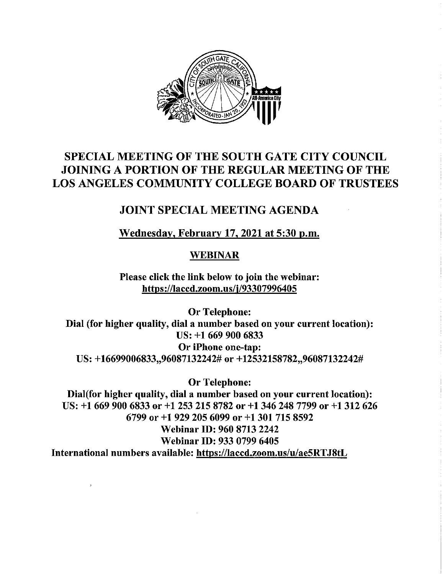

# SPECIAL MEETING OF THE SOUTH GATE CITY COUNCIL JOINING A PORTION OF THE REGULAR MEETING OF THE LOS ANGELES COMMUNITY COLLEGE BOARD OF TRUSTEES

## JOINT SPECIAL MEETING AGENDA

Wednesday, February 17, 2021 at 5:30 p.m.

### WEBINAR

Please click the link below to join the webinar: https://laccd.zoom.us/i/93307996405

Or Telephone: Dial (for higher quality, dial a number based on your current location): US: +1 669 900 6833 Or iPhone one-tap: US: +16699006833,,96087132242# or +12532158782,,96087132242#

Or Telephone:

Dial(for higher quality, dial a number based on your current location): US: +l 669 900 6833 or +1 253 215 8782 or +1 346 248 7799 or +1 312 626 6799 or +1 929 205 6099 or +l 301 715 8592 Webinar ID: 960 8713 2242 Webinar ID: 933 0799 6405 International numbers available: https://laccd.zoom.us/u/ae5RTJ8tL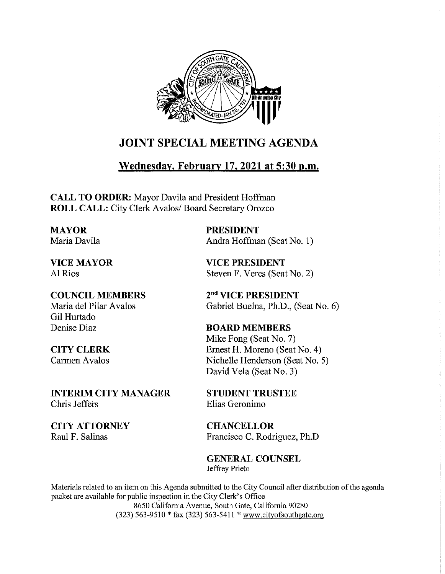

## JOINT SPECIAL MEETING AGENDA

### Wednesday, February 17, 2021 at 5:30 p.m.

CALL TO ORDER: Mayor Davila and President Hoffman ROLL CALL: City Clerk Avalos/ Board Secretary Orozco

MAYOR Maria Davila

VICE MAYOR Al Rios

COUNCIL MEMBERS Maria del Pilar Avalos Gil Hurtado Denise Diaz

CITY CLERK Carmen Avalos

INTERIM CITY MANAGER Chris Jeffers

CITY ATTORNEY Raul F. Salinas

PRESIDENT Andra Hoffman (Seat No. 1)

VICE PRESIDENT Steven F. Veres (Seat No. 2)

2"a" VICE PRESIDENT Gabriel Buelna, Ph.D., (Seat No. 6)

BOARD MEMBERS Mike Fong (Seat No. 7) Ernest H. Moreno (Seat No. 4) Nichelle Henderson (Seat No. 5) David Vela (Seat No. 3)

STUDENT TRUSTEE Elias Geronimo

**CHANCELLOR** Francisco C. Rodriguez, Ph.D

GENERAL COUNSEL Jeffrey Prieto

Materials related to an item on this Agenda submitted to the City Council after distribution of the agenda packet are available for public inspection in the City Clerk's Office 8650 California Avenue, South Gate, California 90280 (323) 563-9510 \* fax (323) 563-5411 \* www.cityofsouthgate.org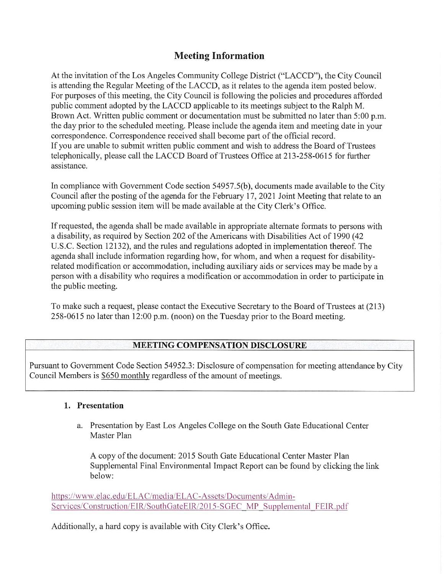### Meeting Information

At the invitation of the Los Angeles Community College District ("LACCD"), the City Council is attending the Regular Meeting of the LACCD, as it relates to the agenda item posted below. For purposes of this meeting, the City Council is following the policies and procedures afforded public comment adopted by the LACCD applicable to its meetings subject to the Ralph M. Brown Act. Written public comment or documentation must be submitted no later than 5:00 p.m. the day prior to the scheduled meeting. Please include the agenda item and meeting date in your correspondence. Correspondence received shall become part of the official record. If you are unable to submit written public comment and wish to address the Board of Trustees telephonically, please call the LACCD Board of Trustees Office at 213-258-0615 for further assistance.

In compliance with Government Code section 54957.5(b), documents made available to the City Council after the posting of the agenda for the February 17, 2021 Joint Meeting that relate to an upcoming public session item will be made available at the City Clerk's Office.

If requested, the agenda shall be made available in appropriate alternate formats to persons with a disability, as required by Section 202 of the Americans with Disabilities Act of 1990 (42 U.S.C. Section 12132), and the rules and regulations adopted in implementation thereof. The agenda shall include information regarding how, for whom, and when a request for disabilityrelated modification or accommodation, including auxiliary aids or services may be made by a person with a disability who requires a modification or accommodation in order to participate in the public meeting.

To make such a request, please contact the Executive Secretary to the Board of Trustees at (213) 258-0615 no later than 12:00 p.m. (noon) on the Tuesday prior to the Board meeting.

#### MEETING COMPENSATION DISCLOSURE

Pursuant to Governrnent Code Section 54952.3: Disclosure of compensation for meeting attendance by City Council Members is \$650 monthly regardless of the amount of meetings.

#### 1. Presentation

a. Presentation by East Los Angeles College on the South Gate Educational Center Master Plan

A copy of the document: 2015 South Gate Educational Center Master Plan Supplemental Final Environmental Impact Report can be found by clicking the link below:

https://www.elac.edu/ELAC/media/ELAC-Assets/Documents/Admin-Services/Construction/EIR/SouthGateEIR/2015-SGEC MP Supplemental FEIR.pdf

Additionally, a hard copy is available with City Clerk's Office.